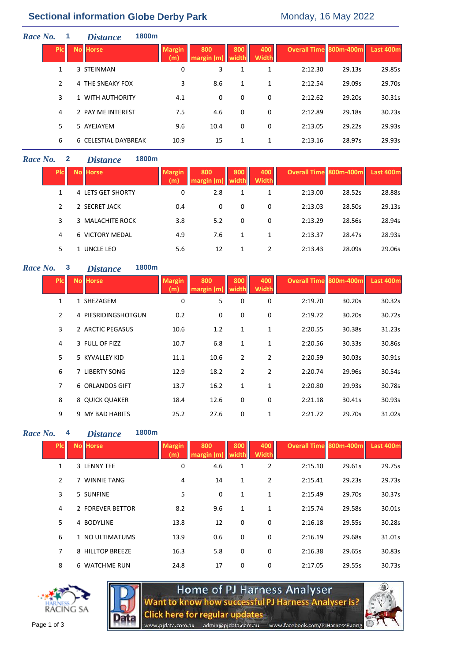# **Sectional information Globe Derby Park** Monday, 16 May 2022

| Race No. |            | <b>Distance</b>      | 1800m |                      |                   |              |                     |                        |        |                  |
|----------|------------|----------------------|-------|----------------------|-------------------|--------------|---------------------|------------------------|--------|------------------|
|          | <b>PIC</b> | <b>No Horse</b>      |       | <b>Margin</b><br>(m) | 800<br>margin (m) | 800<br>width | 400<br><b>Width</b> | Overall Time 800m-400m |        | <b>Last 400m</b> |
|          | 1          | 3 STEINMAN           |       | 0                    | 3                 | 1            | 1                   | 2:12.30                | 29.13s | 29.85s           |
|          | 2          | 4 THE SNEAKY FOX     |       | 3                    | 8.6               | 1            | 1                   | 2:12.54                | 29.09s | 29.70s           |
|          | 3          | 1 WITH AUTHORITY     |       | 4.1                  | 0                 | 0            | 0                   | 2:12.62                | 29.20s | 30.31s           |
|          | 4          | 2 PAY ME INTEREST    |       | 7.5                  | 4.6               | 0            | 0                   | 2:12.89                | 29.18s | 30.23s           |
|          | 5.         | 5 AYEJAYEM           |       | 9.6                  | 10.4              | 0            | 0                   | 2:13.05                | 29.22s | 29.93s           |
|          | 6          | 6 CELESTIAL DAYBREAK |       | 10.9                 | 15                | 1            | 1                   | 2:13.16                | 28.97s | 29.93s           |

# *Race No.* **2** *Distance* **1800m**

| <b>PIC</b>    | <b>No Horse</b>   | <b>Margin</b><br>(m) | 800<br>margin (m) | 800 | 400<br><b>Width</b> | <b>Overall Time 800m-400m</b> |        | Last 400m |
|---------------|-------------------|----------------------|-------------------|-----|---------------------|-------------------------------|--------|-----------|
|               | 4 LETS GET SHORTY | 0                    | 2.8               | 1   |                     | 2:13.00                       | 28.52s | 28.88s    |
| $\mathcal{P}$ | 2 SECRET JACK     | 0.4                  | 0                 | 0   | 0                   | 2:13.03                       | 28.50s | 29.13s    |
| 3             | 3 MALACHITE ROCK  | 3.8                  | 5.2               | 0   | 0                   | 2:13.29                       | 28.56s | 28.94s    |
| 4             | 6 VICTORY MEDAL   | 4.9                  | 7.6               | 1   | 1                   | 2:13.37                       | 28.47s | 28.93s    |
| 5.            | 1 UNCLE LEO       | 5.6                  | 12                | 1   | 2                   | 2:13.43                       | 28.09s | 29.06s    |

#### *Race No.* **3** *Distance* **1800m**

| <b>PIC</b>     | <b>No Horse</b>     | <b>Margin</b><br>(m) | 800<br>margin (m | 800<br>width   | 400<br><b>Width</b> | Overall Time 800m-400m |        | Last 400m |
|----------------|---------------------|----------------------|------------------|----------------|---------------------|------------------------|--------|-----------|
| 1              | 1 SHEZAGEM          | 0                    | 5                | 0              | 0                   | 2:19.70                | 30.20s | 30.32s    |
| $\overline{2}$ | 4 PIESRIDINGSHOTGUN | 0.2                  | 0                | 0              | 0                   | 2:19.72                | 30.20s | 30.72s    |
| 3              | 2 ARCTIC PEGASUS    | 10.6                 | 1.2              | 1              | 1                   | 2:20.55                | 30.38s | 31.23s    |
| 4              | 3 FULL OF FIZZ      | 10.7                 | 6.8              | 1              | 1                   | 2:20.56                | 30.33s | 30.86s    |
| 5              | 5 KYVALLEY KID      | 11.1                 | 10.6             | $\overline{2}$ | 2                   | 2:20.59                | 30.03s | 30.91s    |
| 6              | 7 LIBERTY SONG      | 12.9                 | 18.2             | $\overline{2}$ | $\overline{2}$      | 2:20.74                | 29.96s | 30.54s    |
| 7              | 6 ORLANDOS GIFT     | 13.7                 | 16.2             | $\mathbf{1}$   | 1                   | 2:20.80                | 29.93s | 30.78s    |
| 8              | 8 QUICK QUAKER      | 18.4                 | 12.6             | 0              | 0                   | 2:21.18                | 30.41s | 30.93s    |
| 9              | 9 MY BAD HABITS     | 25.2                 | 27.6             | 0              | 1                   | 2:21.72                | 29.70s | 31.02s    |

*Race No.* **4** *Distance* **1800m**

| <b>PIC</b>     | <b>No Horse</b>  | <b>Margin</b><br>(m) | 800<br>margin (m) | 800<br>width | 400<br><b>Width</b> | <b>Overall Time 800m-400m</b> |        | Last 400m |
|----------------|------------------|----------------------|-------------------|--------------|---------------------|-------------------------------|--------|-----------|
| 1              | 3 LENNY TEE      | 0                    | 4.6               | 1            | $\overline{2}$      | 2:15.10                       | 29.61s | 29.75s    |
| $\overline{2}$ | 7 WINNIE TANG    | 4                    | 14                | $\mathbf{1}$ | 2                   | 2:15.41                       | 29.23s | 29.73s    |
| 3              | 5 SUNFINE        | 5                    | 0                 | $\mathbf{1}$ | 1                   | 2:15.49                       | 29.70s | 30.37s    |
| 4              | 2 FOREVER BETTOR | 8.2                  | 9.6               | $\mathbf{1}$ | $\mathbf{1}$        | 2:15.74                       | 29.58s | 30.01s    |
| 5              | 4 BODYLINE       | 13.8                 | 12                | $\mathbf 0$  | 0                   | 2:16.18                       | 29.55s | 30.28s    |
| 6              | 1 NO ULTIMATUMS  | 13.9                 | 0.6               | 0            | 0                   | 2:16.19                       | 29.68s | 31.01s    |
| 7              | 8 HILLTOP BREEZE | 16.3                 | 5.8               | 0            | 0                   | 2:16.38                       | 29.65s | 30.83s    |
| 8              | 6 WATCHME RUN    | 24.8                 | 17                | 0            | 0                   | 2:17.05                       | 29.55s | 30.73s    |
|                |                  |                      |                   |              |                     |                               |        |           |





Home of PJ Harness Analyser<br>Want to know how successful PJ Harness Analyser is? **Click here for regular updates** 

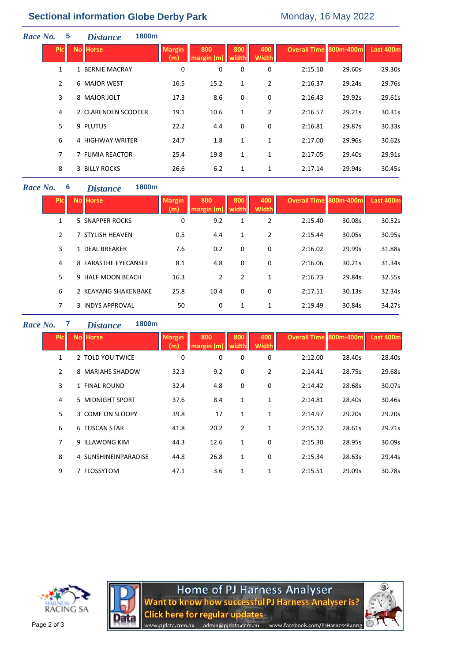# **Sectional information Globe Derby Park** Monday, 16 May 2022

| Race No. |            | 5              | 1800m<br><i>Distance</i> |                      |                   |              |                     |                               |        |           |
|----------|------------|----------------|--------------------------|----------------------|-------------------|--------------|---------------------|-------------------------------|--------|-----------|
|          | <b>PIc</b> |                | <b>No Horse</b>          | <b>Margin</b><br>(m) | 800<br>margin (m) | 800<br>width | 400<br><b>Width</b> | <b>Overall Time 800m-400m</b> |        | Last 400m |
|          |            | 1              | 1 BERNIE MACRAY          | 0                    | 0                 | 0            | 0                   | 2:15.10                       | 29.60s | 29.30s    |
|          |            | $\overline{2}$ | 6 MAJOR WEST             | 16.5                 | 15.2              | 1            | $\overline{2}$      | 2:16.37                       | 29.24s | 29.76s    |
|          |            | 3              | 8 MAJOR JOLT             | 17.3                 | 8.6               | 0            | 0                   | 2:16.43                       | 29.92s | 29.61s    |
|          |            | 4              | 2 CLARENDEN SCOOTER      | 19.1                 | 10.6              | 1            | $\overline{2}$      | 2:16.57                       | 29.21s | 30.31s    |
|          |            | 5              | 9 PLUTUS                 | 22.2                 | 4.4               | 0            | 0                   | 2:16.81                       | 29.87s | 30.33s    |
|          |            | 6              | 4 HIGHWAY WRITER         | 24.7                 | 1.8               | $\mathbf{1}$ | $\mathbf{1}$        | 2:17.00                       | 29.96s | 30.62s    |
|          |            | $\overline{7}$ | 7 FUMIA REACTOR          | 25.4                 | 19.8              | 1            | 1                   | 2:17.05                       | 29.40s | 29.91s    |
|          |            | 8              | <b>3 BILLY ROCKS</b>     | 26.6                 | 6.2               | 1            | 1                   | 2:17.14                       | 29.94s | 30.45s    |
|          |            |                |                          |                      |                   |              |                     |                               |        |           |

### *Race No.* **6** *Distance* **1800m**

| Pic           | <b>No Horse</b>      | <b>Margin</b><br>(m) | 800<br>margin (m) | 800<br>width | 400<br><b>Width</b> | <b>Overall Time 800m-400ml</b> |        | Last 400m |  |
|---------------|----------------------|----------------------|-------------------|--------------|---------------------|--------------------------------|--------|-----------|--|
| 1             | 5 SNAPPER ROCKS      | 0                    | 9.2               | 1            | 2                   | 2:15.40                        | 30.08s | 30.52s    |  |
| $\mathcal{P}$ | 7 STYLISH HEAVEN     | 0.5                  | 4.4               | 1            | 2                   | 2:15.44                        | 30.05s | 30.95s    |  |
| 3             | 1 DEAL BREAKER       | 7.6                  | 0.2               | 0            | 0                   | 2:16.02                        | 29.99s | 31.88s    |  |
| 4             | 8 FARASTHE EYECANSEE | 8.1                  | 4.8               | 0            | 0                   | 2:16.06                        | 30.21s | 31.34s    |  |
| 5             | 9 HALF MOON BEACH    | 16.3                 | $\overline{2}$    | 2            | 1                   | 2:16.73                        | 29.84s | 32.55s    |  |
| 6             | 2 KEAYANG SHAKENBAKE | 25.8                 | 10.4              | 0            | 0                   | 2:17.51                        | 30.13s | 32.34s    |  |
| 7             | 3 INDYS APPROVAL     | 50                   | 0                 | 1            | 1                   | 2:19.49                        | 30.84s | 34.27s    |  |
|               |                      |                      |                   |              |                     |                                |        |           |  |

# *Race No.* **7** *Distance* **1800m**

| <b>PIC</b>     | <b>No Horse</b>      | <b>Margin</b><br>(m | 800<br>margin (m | 800<br>width | 400<br><b>Width</b> | <b>Overall Time 800m-400m</b> |        | Last 400m |
|----------------|----------------------|---------------------|------------------|--------------|---------------------|-------------------------------|--------|-----------|
| 1              | 2 TOLD YOU TWICE     | 0                   | 0                | 0            | 0                   | 2:12.00                       | 28.40s | 28.40s    |
| $\overline{2}$ | 8 MARIAHS SHADOW     | 32.3                | 9.2              | 0            | 2                   | 2:14.41                       | 28.75s | 29.68s    |
| 3              | 1 FINAL ROUND        | 32.4                | 4.8              | 0            | 0                   | 2:14.42                       | 28.68s | 30.07s    |
| 4              | 5 MIDNIGHT SPORT     | 37.6                | 8.4              | 1            | 1                   | 2:14.81                       | 28.40s | 30.46s    |
| 5              | 3 COME ON SLOOPY     | 39.8                | 17               | 1            | 1                   | 2:14.97                       | 29.20s | 29.20s    |
| 6              | 6 TUSCAN STAR        | 41.8                | 20.2             | 2            | 1                   | 2:15.12                       | 28.61s | 29.71s    |
| 7              | 9 ILLAWONG KIM       | 44.3                | 12.6             | 1            | 0                   | 2:15.30                       | 28.95s | 30.09s    |
| 8              | 4 SUNSHINEINPARADISE | 44.8                | 26.8             | $\mathbf{1}$ | 0                   | 2:15.34                       | 28.63s | 29.44s    |
| 9              | 7 FLOSSYTOM          | 47.1                | 3.6              | 1            | 1                   | 2:15.51                       | 29.09s | 30.78s    |





Home of PJ Harness Analyser<br>Want to know how successful PJ Harness Analyser is? **Click here for regular updates** www.pjdata.com.au admin@pjdata.com.au www.facebook.com/PJHarnessRacing